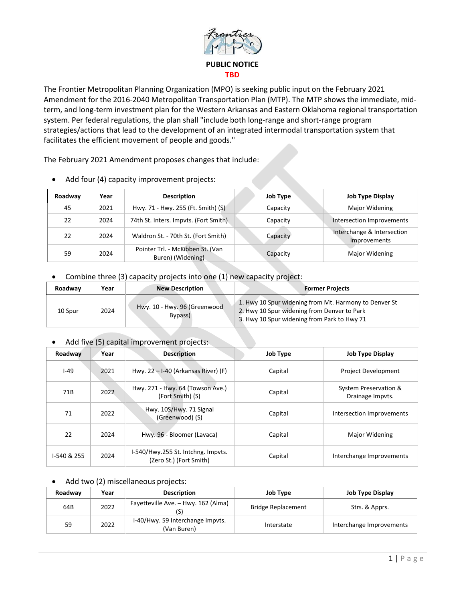

The Frontier Metropolitan Planning Organization (MPO) is seeking public input on the February 2021 Amendment for the 2016-2040 Metropolitan Transportation Plan (MTP). The MTP shows the immediate, midterm, and long-term investment plan for the Western Arkansas and Eastern Oklahoma regional transportation system. Per federal regulations, the plan shall "include both long-range and short-range program strategies/actions that lead to the development of an integrated intermodal transportation system that facilitates the efficient movement of people and goods."

The February 2021 Amendment proposes changes that include:

| Roadway | Year | <b>Description</b>                                    | <b>Job Type</b> | <b>Job Type Display</b>                    |
|---------|------|-------------------------------------------------------|-----------------|--------------------------------------------|
| 45      | 2021 | Hwy. 71 - Hwy. 255 (Ft. Smith) (S)                    | Capacity        | Major Widening                             |
| 22      | 2024 | 74th St. Inters. Impvts. (Fort Smith)                 | Capacity        | Intersection Improvements                  |
| 22      | 2024 | Waldron St. - 70th St. (Fort Smith)                   | Capacity        | Interchange & Intersection<br>Improvements |
| 59      | 2024 | Pointer Trl. - McKibben St. (Van<br>Buren) (Widening) | Capacity        | Major Widening                             |

• Add four (4) capacity improvement projects:

• Combine three (3) capacity projects into one (1) new capacity project:

| Roadway | Year | <b>New Description</b>                  | <b>Former Projects</b>                                                                                                                              |  |
|---------|------|-----------------------------------------|-----------------------------------------------------------------------------------------------------------------------------------------------------|--|
| 10 Spur | 2024 | Hwy. 10 - Hwy. 96 (Greenwood<br>Bypass) | 1. Hwy 10 Spur widening from Mt. Harmony to Denver St<br>2. Hwy 10 Spur widening from Denver to Park<br>3. Hwy 10 Spur widening from Park to Hwy 71 |  |

## • Add five (5) capital improvement projects:

| Roadway     | Year | <b>Description</b>                                            | <b>Job Type</b> | <b>Job Type Display</b>                   |
|-------------|------|---------------------------------------------------------------|-----------------|-------------------------------------------|
| $I-49$      | 2021 | Hwy. $22 - 1-40$ (Arkansas River) (F)                         | Capital         | <b>Project Development</b>                |
| 71B         | 2022 | Hwy. 271 - Hwy. 64 (Towson Ave.)<br>(Fort Smith) (S)          | Capital         | System Preservation &<br>Drainage Impyts. |
| 71          | 2022 | Hwy. 10S/Hwy. 71 Signal<br>(Greenwood) (S)                    | Capital         | Intersection Improvements                 |
| 22          | 2024 | Hwy. 96 - Bloomer (Lavaca)                                    | Capital         | Major Widening                            |
| I-540 & 255 | 2024 | I-540/Hwy.255 St. Intchng. Impvts.<br>(Zero St.) (Fort Smith) | Capital         | Interchange Improvements                  |

## Add two (2) miscellaneous projects:

| Roadway | Year | <b>Description</b>                              | <b>Job Type</b>           | <b>Job Type Display</b>  |
|---------|------|-------------------------------------------------|---------------------------|--------------------------|
| 64B     | 2022 | Fayetteville Ave. - Hwy. 162 (Alma)             | <b>Bridge Replacement</b> | Strs. & Apprs.           |
| 59      | 2022 | I-40/Hwy. 59 Interchange Impvts.<br>(Van Buren) | Interstate                | Interchange Improvements |